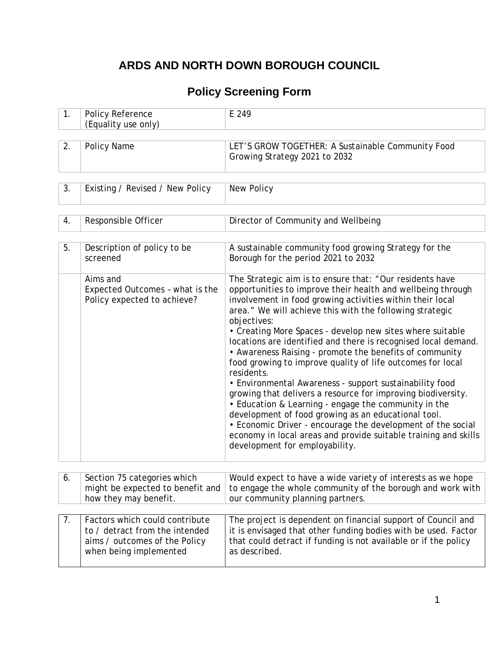# **ARDS AND NORTH DOWN BOROUGH COUNCIL**

## **Policy Screening Form**

| 1. | Policy Reference<br>(Equality use only)                                                                                     | E 249                                                                                                                                                                                                                                                                                                                                                                                                                                                                                                                                                                                                                                                                                                                                                                                                                                                                                                                                               |
|----|-----------------------------------------------------------------------------------------------------------------------------|-----------------------------------------------------------------------------------------------------------------------------------------------------------------------------------------------------------------------------------------------------------------------------------------------------------------------------------------------------------------------------------------------------------------------------------------------------------------------------------------------------------------------------------------------------------------------------------------------------------------------------------------------------------------------------------------------------------------------------------------------------------------------------------------------------------------------------------------------------------------------------------------------------------------------------------------------------|
|    |                                                                                                                             |                                                                                                                                                                                                                                                                                                                                                                                                                                                                                                                                                                                                                                                                                                                                                                                                                                                                                                                                                     |
| 2. | Policy Name                                                                                                                 | LET'S GROW TOGETHER: A Sustainable Community Food<br>Growing Strategy 2021 to 2032                                                                                                                                                                                                                                                                                                                                                                                                                                                                                                                                                                                                                                                                                                                                                                                                                                                                  |
|    |                                                                                                                             |                                                                                                                                                                                                                                                                                                                                                                                                                                                                                                                                                                                                                                                                                                                                                                                                                                                                                                                                                     |
| 3. | Existing / Revised / New Policy                                                                                             | New Policy                                                                                                                                                                                                                                                                                                                                                                                                                                                                                                                                                                                                                                                                                                                                                                                                                                                                                                                                          |
|    |                                                                                                                             |                                                                                                                                                                                                                                                                                                                                                                                                                                                                                                                                                                                                                                                                                                                                                                                                                                                                                                                                                     |
| 4. | Responsible Officer                                                                                                         | Director of Community and Wellbeing                                                                                                                                                                                                                                                                                                                                                                                                                                                                                                                                                                                                                                                                                                                                                                                                                                                                                                                 |
|    |                                                                                                                             |                                                                                                                                                                                                                                                                                                                                                                                                                                                                                                                                                                                                                                                                                                                                                                                                                                                                                                                                                     |
| 5. | Description of policy to be<br>screened                                                                                     | A sustainable community food growing Strategy for the<br>Borough for the period 2021 to 2032                                                                                                                                                                                                                                                                                                                                                                                                                                                                                                                                                                                                                                                                                                                                                                                                                                                        |
|    | Aims and<br>Expected Outcomes - what is the<br>Policy expected to achieve?                                                  | The Strategic aim is to ensure that: "Our residents have<br>opportunities to improve their health and wellbeing through<br>involvement in food growing activities within their local<br>area." We will achieve this with the following strategic<br>objectives:<br>• Creating More Spaces - develop new sites where suitable<br>locations are identified and there is recognised local demand.<br>• Awareness Raising - promote the benefits of community<br>food growing to improve quality of life outcomes for local<br>residents.<br>• Environmental Awareness - support sustainability food<br>growing that delivers a resource for improving biodiversity.<br>• Education & Learning - engage the community in the<br>development of food growing as an educational tool.<br>• Economic Driver - encourage the development of the social<br>economy in local areas and provide suitable training and skills<br>development for employability. |
|    |                                                                                                                             |                                                                                                                                                                                                                                                                                                                                                                                                                                                                                                                                                                                                                                                                                                                                                                                                                                                                                                                                                     |
| 6. | Section 75 categories which<br>might be expected to benefit and<br>how they may benefit.                                    | Would expect to have a wide variety of interests as we hope<br>to engage the whole community of the borough and work with<br>our community planning partners.                                                                                                                                                                                                                                                                                                                                                                                                                                                                                                                                                                                                                                                                                                                                                                                       |
|    |                                                                                                                             |                                                                                                                                                                                                                                                                                                                                                                                                                                                                                                                                                                                                                                                                                                                                                                                                                                                                                                                                                     |
| 7. | Factors which could contribute<br>to / detract from the intended<br>aims / outcomes of the Policy<br>when being implemented | The project is dependent on financial support of Council and<br>it is envisaged that other funding bodies with be used. Factor<br>that could detract if funding is not available or if the policy<br>as described.                                                                                                                                                                                                                                                                                                                                                                                                                                                                                                                                                                                                                                                                                                                                  |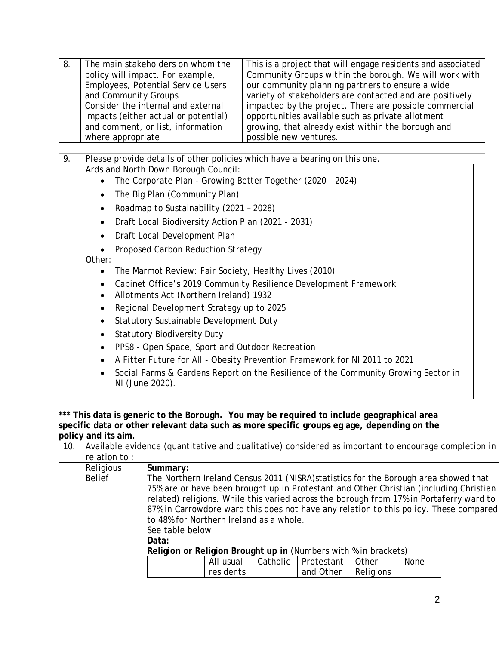| 8. | The main stakeholders on whom the<br>policy will impact. For example,<br><b>Employees, Potential Service Users</b><br>and Community Groups<br>Consider the internal and external<br>impacts (either actual or potential)<br>and comment, or list, information<br>where appropriate | This is a project that will engage residents and associated<br>Community Groups within the borough. We will work with<br>our community planning partners to ensure a wide<br>variety of stakeholders are contacted and are positively<br>impacted by the project. There are possible commercial<br>opportunities available such as private allotment<br>growing, that already exist within the borough and<br>possible new ventures. |  |  |  |  |  |  |
|----|------------------------------------------------------------------------------------------------------------------------------------------------------------------------------------------------------------------------------------------------------------------------------------|--------------------------------------------------------------------------------------------------------------------------------------------------------------------------------------------------------------------------------------------------------------------------------------------------------------------------------------------------------------------------------------------------------------------------------------|--|--|--|--|--|--|
| 9. | Please provide details of other policies which have a bearing on this one.                                                                                                                                                                                                         |                                                                                                                                                                                                                                                                                                                                                                                                                                      |  |  |  |  |  |  |
|    | Ards and North Down Borough Council:<br>The Corporate Plan - Growing Better Together (2020 - 2024)<br>The Big Plan (Community Plan)                                                                                                                                                |                                                                                                                                                                                                                                                                                                                                                                                                                                      |  |  |  |  |  |  |
|    | $\bullet$                                                                                                                                                                                                                                                                          |                                                                                                                                                                                                                                                                                                                                                                                                                                      |  |  |  |  |  |  |
|    | Roadmap to Sustainability (2021 - 2028)<br>Draft Local Biodiversity Action Plan (2021 - 2031)                                                                                                                                                                                      |                                                                                                                                                                                                                                                                                                                                                                                                                                      |  |  |  |  |  |  |
|    | Draft Local Development Plan                                                                                                                                                                                                                                                       |                                                                                                                                                                                                                                                                                                                                                                                                                                      |  |  |  |  |  |  |
|    |                                                                                                                                                                                                                                                                                    |                                                                                                                                                                                                                                                                                                                                                                                                                                      |  |  |  |  |  |  |
|    | Proposed Carbon Reduction Strategy<br>Other:                                                                                                                                                                                                                                       |                                                                                                                                                                                                                                                                                                                                                                                                                                      |  |  |  |  |  |  |
|    | The Marmot Review: Fair Society, Healthy Lives (2010)<br>$\bullet$                                                                                                                                                                                                                 |                                                                                                                                                                                                                                                                                                                                                                                                                                      |  |  |  |  |  |  |
|    | $\bullet$                                                                                                                                                                                                                                                                          | Cabinet Office's 2019 Community Resilience Development Framework                                                                                                                                                                                                                                                                                                                                                                     |  |  |  |  |  |  |
|    | Allotments Act (Northern Ireland) 1932<br>$\bullet$                                                                                                                                                                                                                                |                                                                                                                                                                                                                                                                                                                                                                                                                                      |  |  |  |  |  |  |
|    | Regional Development Strategy up to 2025<br>$\bullet$                                                                                                                                                                                                                              |                                                                                                                                                                                                                                                                                                                                                                                                                                      |  |  |  |  |  |  |
|    | Statutory Sustainable Development Duty<br>$\bullet$                                                                                                                                                                                                                                |                                                                                                                                                                                                                                                                                                                                                                                                                                      |  |  |  |  |  |  |
|    | <b>Statutory Biodiversity Duty</b><br>$\bullet$                                                                                                                                                                                                                                    |                                                                                                                                                                                                                                                                                                                                                                                                                                      |  |  |  |  |  |  |
|    | PPS8 - Open Space, Sport and Outdoor Recreation<br>$\bullet$                                                                                                                                                                                                                       |                                                                                                                                                                                                                                                                                                                                                                                                                                      |  |  |  |  |  |  |
|    | $\bullet$                                                                                                                                                                                                                                                                          | A Fitter Future for All - Obesity Prevention Framework for NI 2011 to 2021                                                                                                                                                                                                                                                                                                                                                           |  |  |  |  |  |  |
|    | NI (June 2020).                                                                                                                                                                                                                                                                    | Social Farms & Gardens Report on the Resilience of the Community Growing Sector in                                                                                                                                                                                                                                                                                                                                                   |  |  |  |  |  |  |
|    |                                                                                                                                                                                                                                                                                    |                                                                                                                                                                                                                                                                                                                                                                                                                                      |  |  |  |  |  |  |

**\*\*\* This data is generic to the Borough. You may be required to include geographical area specific data or other relevant data such as more specific groups eg age, depending on the policy and its aim.**

| 10. |                                                                 | Available evidence (quantitative and qualitative) considered as important to encourage completion in |           |          |            |           |             |  |  |  |
|-----|-----------------------------------------------------------------|------------------------------------------------------------------------------------------------------|-----------|----------|------------|-----------|-------------|--|--|--|
|     | relation to:                                                    |                                                                                                      |           |          |            |           |             |  |  |  |
|     | Religious                                                       | Summary:                                                                                             |           |          |            |           |             |  |  |  |
|     | <b>Belief</b>                                                   | The Northern Ireland Census 2011 (NISRA) statistics for the Borough area showed that                 |           |          |            |           |             |  |  |  |
|     |                                                                 | 75% are or have been brought up in Protestant and Other Christian (including Christian               |           |          |            |           |             |  |  |  |
|     |                                                                 | related) religions. While this varied across the borough from 17% in Portaferry ward to              |           |          |            |           |             |  |  |  |
|     |                                                                 | 87% in Carrowdore ward this does not have any relation to this policy. These compared                |           |          |            |           |             |  |  |  |
|     |                                                                 | to 48% for Northern Ireland as a whole.                                                              |           |          |            |           |             |  |  |  |
|     |                                                                 | See table below                                                                                      |           |          |            |           |             |  |  |  |
|     |                                                                 | Data:                                                                                                |           |          |            |           |             |  |  |  |
|     | Religion or Religion Brought up in (Numbers with % in brackets) |                                                                                                      |           |          |            |           |             |  |  |  |
|     |                                                                 |                                                                                                      | All usual | Catholic | Protestant | Other     | <b>None</b> |  |  |  |
|     |                                                                 |                                                                                                      | residents |          | and Other  | Religions |             |  |  |  |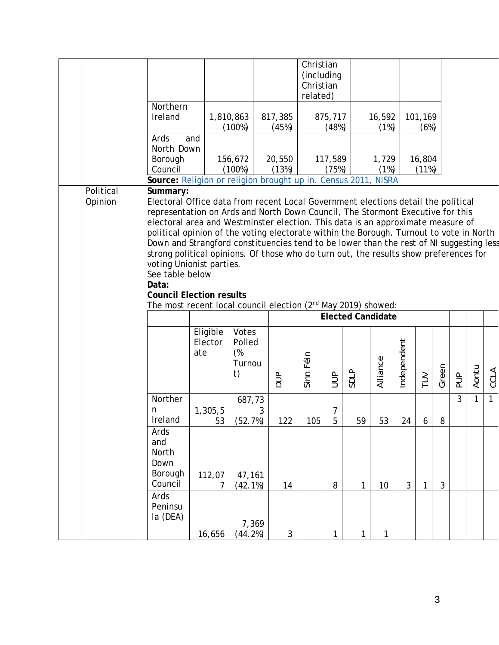|                                                                                                                                                                                                                                                                                                                                                                                                                                                                                                                                                                                                                                                                                                                          |                                                                |                            |                                       |                  | Christian<br>(including<br>Christian<br>related) |                     |                          |                |             |                 |                |               |       |              |
|--------------------------------------------------------------------------------------------------------------------------------------------------------------------------------------------------------------------------------------------------------------------------------------------------------------------------------------------------------------------------------------------------------------------------------------------------------------------------------------------------------------------------------------------------------------------------------------------------------------------------------------------------------------------------------------------------------------------------|----------------------------------------------------------------|----------------------------|---------------------------------------|------------------|--------------------------------------------------|---------------------|--------------------------|----------------|-------------|-----------------|----------------|---------------|-------|--------------|
|                                                                                                                                                                                                                                                                                                                                                                                                                                                                                                                                                                                                                                                                                                                          | Northern<br>Ireland                                            | 1,810,863                  | (100%)                                | 817,385<br>(45%) |                                                  | 875,717<br>(48%)    |                          | 16,592<br>(1%) |             | 101,169<br>(6%) |                |               |       |              |
|                                                                                                                                                                                                                                                                                                                                                                                                                                                                                                                                                                                                                                                                                                                          | Ards<br>and<br>North Down<br>Borough<br>Council                |                            | 156,672<br>(100%)                     | 20,550<br>(13%)  |                                                  | 117,589<br>(75%)    |                          | 1,729<br>(1%)  |             | 16,804<br>(11%) |                |               |       |              |
|                                                                                                                                                                                                                                                                                                                                                                                                                                                                                                                                                                                                                                                                                                                          | Source: Religion or religion brought up in. Census 2011, NISRA |                            |                                       |                  |                                                  |                     |                          |                |             |                 |                |               |       |              |
| Electoral Office data from recent Local Government elections detail the political<br>Opinion<br>representation on Ards and North Down Council, The Stormont Executive for this<br>electoral area and Westminster election. This data is an approximate measure of<br>political opinion of the voting electorate within the Borough. Turnout to vote in North<br>Down and Strangford constituencies tend to be lower than the rest of NI suggesting less<br>strong political opinions. Of those who do turn out, the results show preferences for<br>voting Unionist parties.<br>See table below<br>Data:<br><b>Council Election results</b><br>The most recent local council election (2 <sup>nd</sup> May 2019) showed: |                                                                |                            |                                       |                  |                                                  |                     |                          |                |             |                 |                |               |       |              |
|                                                                                                                                                                                                                                                                                                                                                                                                                                                                                                                                                                                                                                                                                                                          |                                                                |                            |                                       |                  |                                                  |                     | <b>Elected Candidate</b> |                |             |                 |                |               |       |              |
|                                                                                                                                                                                                                                                                                                                                                                                                                                                                                                                                                                                                                                                                                                                          |                                                                | Eligible<br>Elector<br>ate | Votes<br>Polled<br>(%<br>Turnou<br>t) | $\frac{1}{2}$    | Sinn Féin                                        | $\overline{5}$      | SDLP                     | Alliance       | Independent | $\geq$          | Green          | $\frac{a}{b}$ | Aontu | <b>CCLA</b>  |
|                                                                                                                                                                                                                                                                                                                                                                                                                                                                                                                                                                                                                                                                                                                          | Norther<br>n<br>Ireland                                        | 1,305,5<br>53              | 687,73<br>3<br>(52.7%)                | 122              | 105                                              | 7<br>$\overline{5}$ | 59                       | 53             | 24          | 6               | 8              | 3             | 1     | $\mathbf{1}$ |
|                                                                                                                                                                                                                                                                                                                                                                                                                                                                                                                                                                                                                                                                                                                          | Ards<br>and<br>North<br>Down<br>Borough<br>Council             | 112,07<br>7                | 47,161<br>(42.1%)                     | 14               |                                                  | 8                   | 1                        | 10             | 3           | $\mathbf{1}$    | $\mathfrak{Z}$ |               |       |              |
|                                                                                                                                                                                                                                                                                                                                                                                                                                                                                                                                                                                                                                                                                                                          | Ards<br>Peninsu<br>la (DEA)                                    | 16,656                     | 7,369<br>(44.2%)                      | $\mathfrak{Z}$   |                                                  | 1                   | 1                        | 1              |             |                 |                |               |       |              |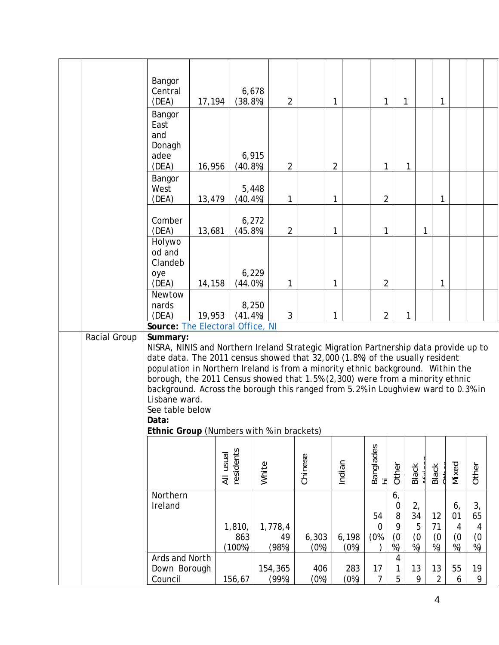|              | Bangor<br>Central<br>(DEA)<br>17,194                                                                                                                                                                                                                                                                                                                                                                                                                                                                                                | 6,678<br>(38.8%)        | $\overline{2}$         |               | 1              | 1                           |                                | 1                          | 1                     |                                         |                            |  |
|--------------|-------------------------------------------------------------------------------------------------------------------------------------------------------------------------------------------------------------------------------------------------------------------------------------------------------------------------------------------------------------------------------------------------------------------------------------------------------------------------------------------------------------------------------------|-------------------------|------------------------|---------------|----------------|-----------------------------|--------------------------------|----------------------------|-----------------------|-----------------------------------------|----------------------------|--|
|              | Bangor<br>East<br>and<br>Donagh<br>adee<br>(DEA)<br>16,956                                                                                                                                                                                                                                                                                                                                                                                                                                                                          | 6,915<br>(40.8%)        | $\overline{2}$         |               | $\overline{2}$ | 1                           |                                | 1                          |                       |                                         |                            |  |
|              | Bangor<br>West<br>(DEA)<br>13,479                                                                                                                                                                                                                                                                                                                                                                                                                                                                                                   | 5,448<br>$(40.4\%)$     | 1                      |               | 1              | $\overline{2}$              |                                |                            | 1                     |                                         |                            |  |
|              | Comber<br>(DEA)<br>13,681<br>Holywo                                                                                                                                                                                                                                                                                                                                                                                                                                                                                                 | 6,272<br>(45.8%)        | $\overline{2}$         |               | 1              | 1                           |                                | 1                          |                       |                                         |                            |  |
|              | od and<br>Clandeb<br>oye<br>14,158<br>(DEA)                                                                                                                                                                                                                                                                                                                                                                                                                                                                                         | 6,229<br>(44.0%)        | $\mathbf{1}$           |               | 1              | $\overline{2}$              |                                |                            | 1                     |                                         |                            |  |
|              | Newtow<br>nards<br>(DEA)<br>19,953<br>Source: The Electoral Office, NI                                                                                                                                                                                                                                                                                                                                                                                                                                                              | 8,250<br>$(41.4\%)$     | 3                      |               | 1              | $\overline{2}$              |                                | 1                          |                       |                                         |                            |  |
| Racial Group | Summary:<br>NISRA, NINIS and Northern Ireland Strategic Migration Partnership data provide up to<br>date data. The 2011 census showed that 32,000 (1.8%) of the usually resident<br>population in Northern Ireland is from a minority ethnic background. Within the<br>borough, the 2011 Census showed that 1.5% (2,300) were from a minority ethnic<br>background. Across the borough this ranged from 5.2% in Loughview ward to 0.3% in<br>Lisbane ward.<br>See table below<br>Data:<br>Ethnic Group (Numbers with % in brackets) |                         |                        |               |                |                             |                                |                            |                       |                                         |                            |  |
|              |                                                                                                                                                                                                                                                                                                                                                                                                                                                                                                                                     | residents<br>All usual  | White                  | Chinese       | Indian         | Banglades<br>hi             | Other                          | <b>Black</b>               | Black                 | Mixed                                   | Other                      |  |
|              | Northern<br>Ireland                                                                                                                                                                                                                                                                                                                                                                                                                                                                                                                 | 1,810,<br>863<br>(100%) | 1,778,4<br>49<br>(98%) | 6,303<br>(0%) | 6,198<br>(0%)  | 54<br>$\overline{0}$<br>(0% | 6,<br>0<br>8<br>9<br>(0)<br>%) | 2,<br>34<br>5<br>(0)<br>%) | 12<br>71<br>(0)<br>%) | 6,<br>01<br>$\overline{4}$<br>(0)<br>%) | 3,<br>65<br>4<br>(0)<br>%) |  |
|              | Ards and North<br>Down Borough<br>Council                                                                                                                                                                                                                                                                                                                                                                                                                                                                                           | 156,67                  | 154,365<br>(99%)       | 406<br>(0%)   | 283<br>(0%)    | 17<br>$\overline{7}$        | 4<br>1<br>5                    | 13<br>9                    | 13<br>$\overline{2}$  | 55<br>6                                 | 19<br>9                    |  |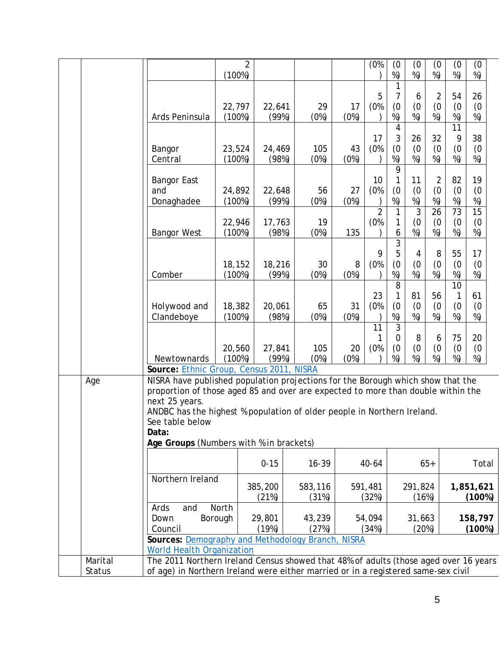|                          |                                                                                                                                                                                                                                                                                                                                         | $\overline{2}$<br>(100%) |                  |                  |            | (0%                   | (0)<br>%)                     | (0)<br>%)                     | (0<br>%)                    | (0)<br>%)            | (0)<br>%)                    |  |
|--------------------------|-----------------------------------------------------------------------------------------------------------------------------------------------------------------------------------------------------------------------------------------------------------------------------------------------------------------------------------------|--------------------------|------------------|------------------|------------|-----------------------|-------------------------------|-------------------------------|-----------------------------|----------------------|------------------------------|--|
|                          | Ards Peninsula                                                                                                                                                                                                                                                                                                                          | 22,797<br>(100%)         | 22,641<br>(99%)  | 29<br>(0%)       | 17<br>(0%) | 5<br>(0%              | 7<br>(0)<br>%)                | 6<br>(0)<br>%)                | 2<br>(0)<br>%)              | 54<br>(0)<br>%)      | 26<br>(0)<br>%)              |  |
|                          |                                                                                                                                                                                                                                                                                                                                         |                          |                  |                  |            |                       | 4                             |                               |                             | 11                   |                              |  |
|                          | Bangor<br>Central                                                                                                                                                                                                                                                                                                                       | 23,524<br>(100%)         | 24,469<br>(98%)  | 105<br>(0%)      | 43<br>(0%) | 17<br>(0%             | 3<br>(0)<br>%)                | 26<br>(0)<br>%)               | 32<br>(0)<br>%)             | 9<br>(0)<br>%)       | 38<br>(0)<br>%)              |  |
|                          | <b>Bangor East</b><br>and<br>Donaghadee                                                                                                                                                                                                                                                                                                 | 24,892<br>(100%)         | 22,648<br>(99%)  | 56<br>(0%)       | 27<br>(0%) | 10<br>(0%             | 9<br>1<br>(0)<br>%)           | 11<br>(0)<br>%)               | $\overline{2}$<br>(0)<br>%) | 82<br>(0)<br>%)      | 19<br>(0)<br>%)              |  |
|                          | <b>Bangor West</b>                                                                                                                                                                                                                                                                                                                      | 22,946<br>(100%)         | 17,763<br>(98%)  | 19<br>(0%)       | 135        | $\overline{2}$<br>(0% | 1<br>1<br>6                   | 3<br>$\left( 0 \right)$<br>%) | 26<br>(0)<br>%)             | 73<br>(0)<br>%)      | $\overline{15}$<br>(0)<br>%) |  |
|                          | Comber                                                                                                                                                                                                                                                                                                                                  | 18,152<br>(100%)         | 18,216<br>(99%)  | 30<br>(0%)       | 8<br>(0%)  | 9<br>(0%              | 3<br>5<br>(0)<br>%)           | 4<br>(0)<br>%)                | 8<br>(0)<br>%)              | 55<br>(0)<br>%)      | 17<br>(0)<br>%)              |  |
|                          | Holywood and<br>Clandeboye                                                                                                                                                                                                                                                                                                              | 18,382<br>(100%)         | 20,061<br>(98%)  | 65<br>(0%)       | 31<br>(0%) | 23<br>(0%             | 8<br>1<br>(0)<br>%)           | 81<br>(0)<br>%)               | 56<br>(0)<br>%)             | 10<br>1<br>(0)<br>%) | 61<br>(0)<br>%)              |  |
|                          | Newtownards                                                                                                                                                                                                                                                                                                                             | 20,560<br>(100%)         | 27,841<br>(99%)  | 105<br>(0%)      | 20<br>(0%) | 11<br>1<br>(0%        | 3<br>$\mathbf 0$<br>(0)<br>%) | 8<br>(0)<br>%)                | 6<br>(0)<br>%)              | 75<br>(0)<br>%)      | 20<br>(0)<br>%)              |  |
| Age                      | Source: Ethnic Group, Census 2011, NISRA                                                                                                                                                                                                                                                                                                |                          |                  |                  |            |                       |                               |                               |                             |                      |                              |  |
|                          | NISRA have published population projections for the Borough which show that the<br>proportion of those aged 85 and over are expected to more than double within the<br>next 25 years.<br>ANDBC has the highest % population of older people in Northern Ireland.<br>See table below<br>Data:<br>Age Groups (Numbers with % in brackets) |                          |                  |                  |            |                       |                               |                               |                             |                      |                              |  |
|                          |                                                                                                                                                                                                                                                                                                                                         |                          | $0 - 15$         | $16 - 39$        |            | 40-64                 |                               |                               | $65+$                       |                      | Total                        |  |
|                          | Northern Ireland                                                                                                                                                                                                                                                                                                                        |                          | 385,200<br>(21%) | 583,116<br>(31%) |            | 591,481<br>(32%)      |                               | 291,824<br>(16%)              |                             |                      | 1,851,621<br>(100%)          |  |
|                          | Ards<br>and<br>Down<br>Council<br>Sources: Demography and Methodology Branch, NISRA                                                                                                                                                                                                                                                     | <b>North</b><br>Borough  | 29,801<br>(19%)  | 43,239<br>(27%)  |            | 54,094<br>(34%)       |                               | 31,663<br>(20%)               |                             |                      | 158,797<br>(100%)            |  |
|                          | <b>World Health Organization</b>                                                                                                                                                                                                                                                                                                        |                          |                  |                  |            |                       |                               |                               |                             |                      |                              |  |
| Marital<br><b>Status</b> | The 2011 Northern Ireland Census showed that 48% of adults (those aged over 16 years<br>of age) in Northern Ireland were either married or in a registered same-sex civil                                                                                                                                                               |                          |                  |                  |            |                       |                               |                               |                             |                      |                              |  |
|                          |                                                                                                                                                                                                                                                                                                                                         |                          |                  |                  |            |                       |                               |                               |                             |                      |                              |  |
|                          |                                                                                                                                                                                                                                                                                                                                         |                          |                  |                  |            |                       |                               |                               |                             |                      |                              |  |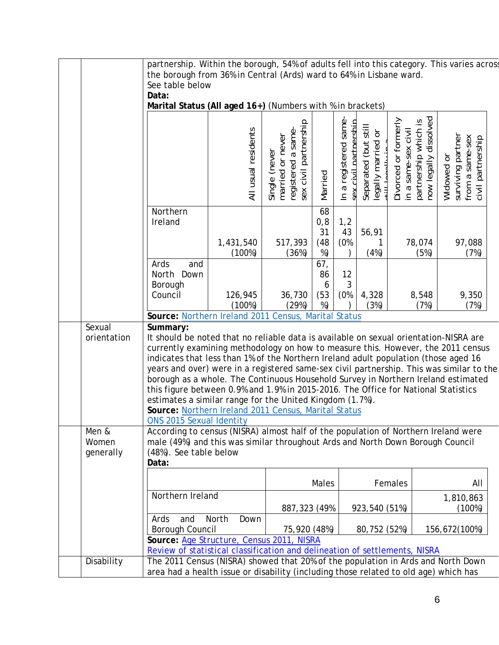|                             | partnership. Within the borough, 54% of adults fell into this category. This varies acros<br>the borough from 36% in Central (Ards) ward to 64% in Lisbane ward.<br>See table below<br>Data:            |                                                                                                                                                                                                                                                                                                                                                                                                                                                                                                                                                                                                                                                                                                                     |                                                                                  |                               |                                                |                                            |                                                                                              |                                                                         |  |
|-----------------------------|---------------------------------------------------------------------------------------------------------------------------------------------------------------------------------------------------------|---------------------------------------------------------------------------------------------------------------------------------------------------------------------------------------------------------------------------------------------------------------------------------------------------------------------------------------------------------------------------------------------------------------------------------------------------------------------------------------------------------------------------------------------------------------------------------------------------------------------------------------------------------------------------------------------------------------------|----------------------------------------------------------------------------------|-------------------------------|------------------------------------------------|--------------------------------------------|----------------------------------------------------------------------------------------------|-------------------------------------------------------------------------|--|
|                             | Marital Status (All aged 16+) (Numbers with % in brackets)                                                                                                                                              | All usual residents                                                                                                                                                                                                                                                                                                                                                                                                                                                                                                                                                                                                                                                                                                 | registered a same-<br>sex civil partnership<br>married or never<br>Single (never |                               | In a registered same-<br>sex civil nartnershin | Separated (but still<br>legally married or | in a same-sex civil<br>partnership which is<br>now legally dissolved<br>Divorced or formerly | surviving partner<br>from a same-sex<br>civil partnership<br>Widowed or |  |
|                             |                                                                                                                                                                                                         |                                                                                                                                                                                                                                                                                                                                                                                                                                                                                                                                                                                                                                                                                                                     |                                                                                  | Married                       |                                                |                                            |                                                                                              |                                                                         |  |
|                             | Northern<br>Ireland                                                                                                                                                                                     | 1,431,540<br>(100%)                                                                                                                                                                                                                                                                                                                                                                                                                                                                                                                                                                                                                                                                                                 | 517,393<br>(36%)                                                                 | 68<br>0,8<br>31<br>(48)<br>%) | 1,2<br>43<br>(0%                               | 56,91<br>1<br>(4%)                         | 78,074<br>(5%)                                                                               | 97,088<br>(7%)                                                          |  |
|                             | Ards<br>and<br>North Down<br>Borough<br>Council                                                                                                                                                         | 126,945<br>(100%)                                                                                                                                                                                                                                                                                                                                                                                                                                                                                                                                                                                                                                                                                                   | 36,730<br>(29%)                                                                  | 67,<br>86<br>6<br>(53)<br>%)  | 12<br>3<br>(0%                                 | 4,328<br>(3%)                              | 8,548<br>(7%)                                                                                | 9,350<br>(7%)                                                           |  |
| Sexual<br>orientation       | Summary:<br>ONS 2015 Sexual Identity                                                                                                                                                                    | Source: Northern Ireland 2011 Census, Marital Status<br>It should be noted that no reliable data is available on sexual orientation-NISRA are<br>currently examining methodology on how to measure this. However, the 2011 census<br>indicates that less than 1% of the Northern Ireland adult population (those aged 16<br>years and over) were in a registered same-sex civil partnership. This was similar to the<br>borough as a whole. The Continuous Household Survey in Northern Ireland estimated<br>this figure between 0.9% and 1.9% in 2015-2016. The Office for National Statistics<br>estimates a similar range for the United Kingdom (1.7%).<br>Source: Northern Ireland 2011 Census, Marital Status |                                                                                  |                               |                                                |                                            |                                                                                              |                                                                         |  |
| Men &<br>Women<br>generally | According to census (NISRA) almost half of the population of Northern Ireland were<br>male (49%) and this was similar throughout Ards and North Down Borough Council<br>(48%). See table below<br>Data: |                                                                                                                                                                                                                                                                                                                                                                                                                                                                                                                                                                                                                                                                                                                     |                                                                                  |                               |                                                |                                            |                                                                                              |                                                                         |  |
|                             | Northern Ireland                                                                                                                                                                                        |                                                                                                                                                                                                                                                                                                                                                                                                                                                                                                                                                                                                                                                                                                                     |                                                                                  | Males                         |                                                |                                            | Females                                                                                      | All<br>1,810,863                                                        |  |
|                             | Ards<br>and<br>Borough Council<br>Source: Age Structure, Census 2011, NISRA<br>Review of statistical classification and delineation of settlements, NISRA                                               | North<br>Down                                                                                                                                                                                                                                                                                                                                                                                                                                                                                                                                                                                                                                                                                                       | 887,323 (49%<br>75,920 (48%)                                                     |                               |                                                | 923,540 (51%)<br>80,752 (52%)              |                                                                                              | (100%)<br>156,672(100%)                                                 |  |
| Disability                  | The 2011 Census (NISRA) showed that 20% of the population in Ards and North Down<br>area had a health issue or disability (including those related to old age) which has                                |                                                                                                                                                                                                                                                                                                                                                                                                                                                                                                                                                                                                                                                                                                                     |                                                                                  |                               |                                                |                                            |                                                                                              |                                                                         |  |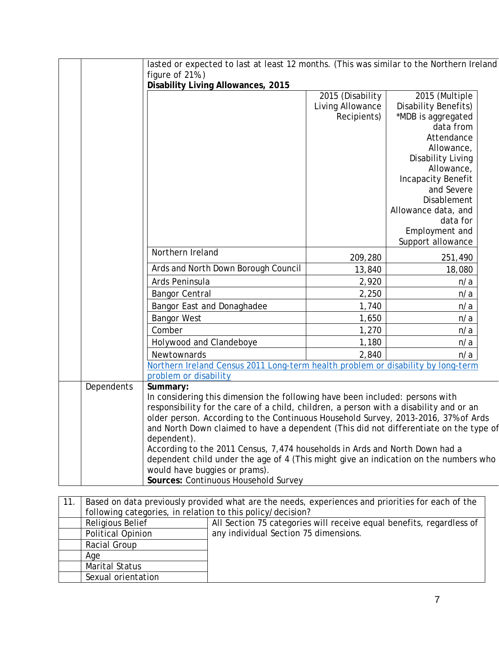|            | lasted or expected to last at least 12 months. (This was similar to the Northern Ireland                  |                                      |                                            |  |
|------------|-----------------------------------------------------------------------------------------------------------|--------------------------------------|--------------------------------------------|--|
|            | figure of 21%.)                                                                                           |                                      |                                            |  |
|            | Disability Living Allowances, 2015                                                                        |                                      |                                            |  |
|            |                                                                                                           | 2015 (Disability<br>Living Allowance | 2015 (Multiple                             |  |
|            |                                                                                                           | Recipients)                          | Disability Benefits)<br>*MDB is aggregated |  |
|            |                                                                                                           |                                      | data from                                  |  |
|            |                                                                                                           |                                      | Attendance                                 |  |
|            |                                                                                                           |                                      | Allowance,                                 |  |
|            |                                                                                                           |                                      | Disability Living                          |  |
|            |                                                                                                           |                                      | Allowance,                                 |  |
|            |                                                                                                           |                                      | Incapacity Benefit                         |  |
|            |                                                                                                           |                                      | and Severe                                 |  |
|            |                                                                                                           |                                      | <b>Disablement</b>                         |  |
|            |                                                                                                           |                                      | Allowance data, and                        |  |
|            |                                                                                                           |                                      | data for                                   |  |
|            |                                                                                                           |                                      | Employment and                             |  |
|            |                                                                                                           |                                      | Support allowance                          |  |
|            | Northern Ireland                                                                                          | 209,280                              | 251,490                                    |  |
|            | Ards and North Down Borough Council                                                                       | 13,840                               | 18,080                                     |  |
|            | Ards Peninsula                                                                                            | 2,920                                | n/a                                        |  |
|            | <b>Bangor Central</b>                                                                                     | 2,250                                | n/a                                        |  |
|            | Bangor East and Donaghadee                                                                                | 1,740                                | n/a                                        |  |
|            | <b>Bangor West</b>                                                                                        | 1,650                                | n/a                                        |  |
|            | Comber                                                                                                    | 1,270                                | n/a                                        |  |
|            | Holywood and Clandeboye                                                                                   | 1,180                                | n/a                                        |  |
|            | Newtownards                                                                                               | 2,840                                | n/a                                        |  |
|            | Northern Ireland Census 2011 Long-term health problem or disability by long-term<br>problem or disability |                                      |                                            |  |
| Dependents | Summary:                                                                                                  |                                      |                                            |  |
|            | In considering this dimension the following have been included: persons with                              |                                      |                                            |  |
|            | responsibility for the care of a child, children, a person with a disability and or an                    |                                      |                                            |  |
|            | older person. According to the Continuous Household Survey, 2013-2016, 37% of Ards                        |                                      |                                            |  |
|            | and North Down claimed to have a dependent (This did not differentiate on the type of                     |                                      |                                            |  |
|            | dependent).                                                                                               |                                      |                                            |  |
|            | According to the 2011 Census, 7,474 households in Ards and North Down had a                               |                                      |                                            |  |
|            | dependent child under the age of 4 (This might give an indication on the numbers who                      |                                      |                                            |  |
|            | would have buggies or prams).                                                                             |                                      |                                            |  |
|            | Sources: Continuous Household Survey                                                                      |                                      |                                            |  |

| 11. | Based on data previously provided what are the needs, experiences and priorities for each of the |                                                                      |  |  |  |  |  |
|-----|--------------------------------------------------------------------------------------------------|----------------------------------------------------------------------|--|--|--|--|--|
|     | following categories, in relation to this policy/decision?                                       |                                                                      |  |  |  |  |  |
|     | <b>Religious Belief</b>                                                                          | All Section 75 categories will receive equal benefits, regardless of |  |  |  |  |  |
|     | Political Opinion                                                                                | any individual Section 75 dimensions.                                |  |  |  |  |  |
|     | Racial Group                                                                                     |                                                                      |  |  |  |  |  |
|     | Age                                                                                              |                                                                      |  |  |  |  |  |
|     | Marital Status                                                                                   |                                                                      |  |  |  |  |  |
|     | Sexual orientation                                                                               |                                                                      |  |  |  |  |  |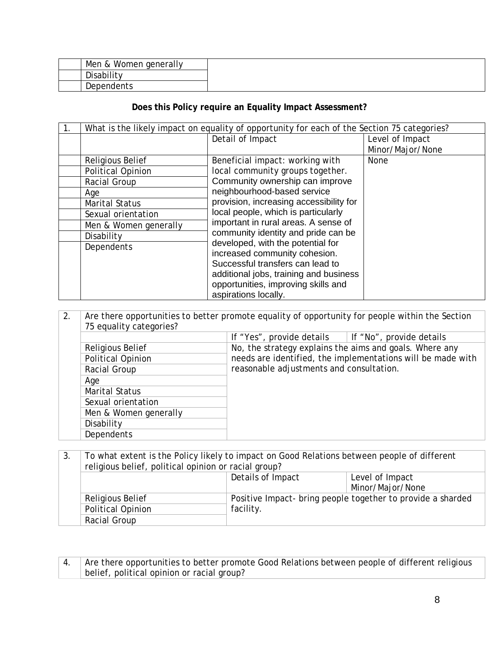| Men & Women generally |  |
|-----------------------|--|
| Disability            |  |
| Dependents            |  |

### **Does this Policy require an Equality Impact Assessment?**

| 1. |                         | What is the likely impact on equality of opportunity for each of the Section 75 categories? |                  |
|----|-------------------------|---------------------------------------------------------------------------------------------|------------------|
|    |                         | Detail of Impact                                                                            | Level of Impact  |
|    |                         |                                                                                             | Minor/Major/None |
|    | <b>Religious Belief</b> | Beneficial impact: working with                                                             | None             |
|    | Political Opinion       | local community groups together.                                                            |                  |
|    | Racial Group            | Community ownership can improve                                                             |                  |
|    | Age                     | neighbourhood-based service                                                                 |                  |
|    | <b>Marital Status</b>   | provision, increasing accessibility for                                                     |                  |
|    | Sexual orientation      | local people, which is particularly                                                         |                  |
|    | Men & Women generally   | important in rural areas. A sense of                                                        |                  |
|    | Disability              | community identity and pride can be                                                         |                  |
|    | Dependents              | developed, with the potential for                                                           |                  |
|    |                         | increased community cohesion.                                                               |                  |
|    |                         | Successful transfers can lead to                                                            |                  |
|    |                         | additional jobs, training and business                                                      |                  |
|    |                         | opportunities, improving skills and                                                         |                  |
|    |                         | aspirations locally.                                                                        |                  |

| 2. | 75 equality categories? | Are there opportunities to better promote equality of opportunity for people within the Section |                                                             |  |  |  |  |
|----|-------------------------|-------------------------------------------------------------------------------------------------|-------------------------------------------------------------|--|--|--|--|
|    |                         | If "Yes", provide details                                                                       | If "No", provide details                                    |  |  |  |  |
|    | Religious Belief        | No, the strategy explains the aims and goals. Where any                                         |                                                             |  |  |  |  |
|    | Political Opinion       |                                                                                                 | needs are identified, the implementations will be made with |  |  |  |  |
|    | Racial Group            | reasonable adjustments and consultation.                                                        |                                                             |  |  |  |  |
|    | Age                     |                                                                                                 |                                                             |  |  |  |  |
|    | Marital Status          |                                                                                                 |                                                             |  |  |  |  |
|    | Sexual orientation      |                                                                                                 |                                                             |  |  |  |  |
|    | Men & Women generally   |                                                                                                 |                                                             |  |  |  |  |
|    | Disability              |                                                                                                 |                                                             |  |  |  |  |
|    | Dependents              |                                                                                                 |                                                             |  |  |  |  |

| 3. | To what extent is the Policy likely to impact on Good Relations between people of different<br>religious belief, political opinion or racial group? |                   |                                                             |
|----|-----------------------------------------------------------------------------------------------------------------------------------------------------|-------------------|-------------------------------------------------------------|
|    |                                                                                                                                                     | Details of Impact | Level of Impact                                             |
|    |                                                                                                                                                     |                   | Minor/Major/None                                            |
|    | Religious Belief                                                                                                                                    |                   | Positive Impact- bring people together to provide a sharded |
|    | <b>Political Opinion</b>                                                                                                                            | facility.         |                                                             |
|    | Racial Group                                                                                                                                        |                   |                                                             |

4. Are there opportunities to better promote Good Relations between people of different religious belief, political opinion or racial group?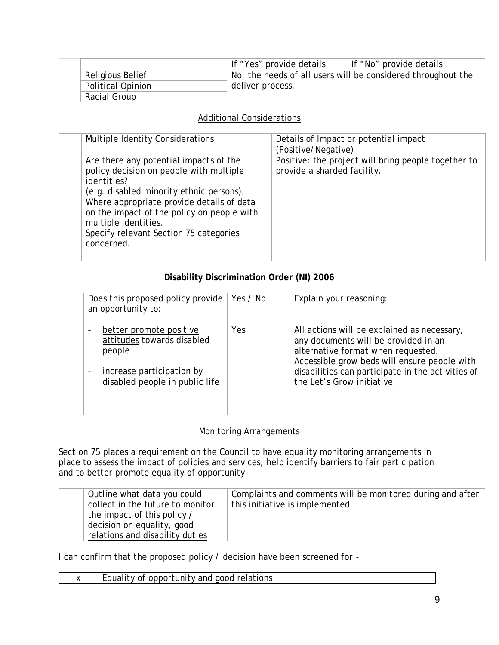|                   | If "Yes" provide details | If "No" provide details                                      |
|-------------------|--------------------------|--------------------------------------------------------------|
| Religious Belief  |                          | No, the needs of all users will be considered throughout the |
| Political Opinion | deliver process.         |                                                              |
| Racial Group      |                          |                                                              |

## Additional Considerations

| Multiple Identity Considerations                                                                                                                                                                                                                                                                                        | Details of Impact or potential impact<br>(Positive/Negative)                       |
|-------------------------------------------------------------------------------------------------------------------------------------------------------------------------------------------------------------------------------------------------------------------------------------------------------------------------|------------------------------------------------------------------------------------|
| Are there any potential impacts of the<br>policy decision on people with multiple<br>identities?<br>(e.g. disabled minority ethnic persons).<br>Where appropriate provide details of data<br>on the impact of the policy on people with<br>multiple identities.<br>Specify relevant Section 75 categories<br>concerned. | Positive: the project will bring people together to<br>provide a sharded facility. |

## **Disability Discrimination Order (NI) 2006**

| Does this proposed policy provide<br>an opportunity to:                                                                             | Yes / No | Explain your reasoning:                                                                                                                                                                                                                                      |
|-------------------------------------------------------------------------------------------------------------------------------------|----------|--------------------------------------------------------------------------------------------------------------------------------------------------------------------------------------------------------------------------------------------------------------|
| better promote positive<br>attitudes towards disabled<br>people<br>increase participation by<br>-<br>disabled people in public life | Yes      | All actions will be explained as necessary,<br>any documents will be provided in an<br>alternative format when requested.<br>Accessible grow beds will ensure people with<br>disabilities can participate in the activities of<br>the Let's Grow initiative. |

#### Monitoring Arrangements

Section 75 places a requirement on the Council to have equality monitoring arrangements in place to assess the impact of policies and services, help identify barriers to fair participation and to better promote equality of opportunity.

| Outline what data you could      | Complaints and comments will be monitored during and after |
|----------------------------------|------------------------------------------------------------|
| collect in the future to monitor | this initiative is implemented.                            |
| the impact of this policy /      |                                                            |
| decision on equality, good       |                                                            |
| relations and disability duties  |                                                            |

I can confirm that the proposed policy / decision have been screened for:-

| opportunity and<br>relations<br>aood<br>$\sim$ $\sim$<br>nt<br>v<br>. 11 L |
|----------------------------------------------------------------------------|
|----------------------------------------------------------------------------|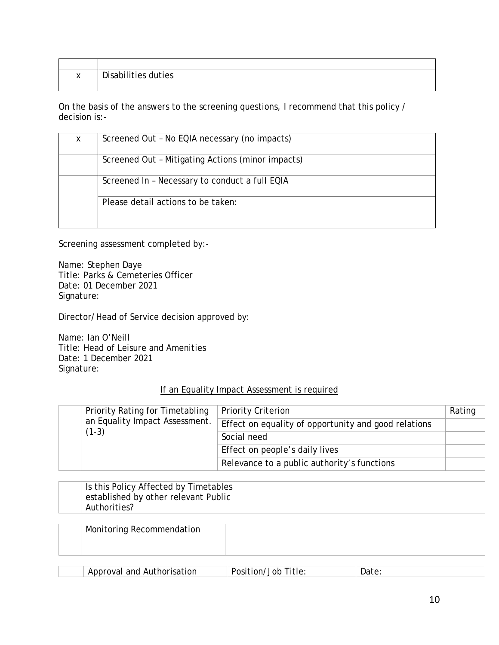| $\lambda$<br>$\lambda$ | Disabilities duties |
|------------------------|---------------------|
|                        |                     |

On the basis of the answers to the screening questions, I recommend that this policy / decision is:-

| X | Screened Out - No EQIA necessary (no impacts)     |
|---|---------------------------------------------------|
|   | Screened Out - Mitigating Actions (minor impacts) |
|   | Screened In - Necessary to conduct a full EQIA    |
|   | Please detail actions to be taken:                |

Screening assessment completed by:-

Name: Stephen Daye Title: Parks & Cemeteries Officer Date: 01 December 2021 Signature:

Director/Head of Service decision approved by:

Name: Ian O'Neill Title: Head of Leisure and Amenities Date: 1 December 2021 Signature:

#### If an Equality Impact Assessment is required

|  | Priority Rating for Timetabling<br>an Equality Impact Assessment.<br>$(1-3)$ | <b>Priority Criterion</b>                            | Rating |
|--|------------------------------------------------------------------------------|------------------------------------------------------|--------|
|  |                                                                              | Effect on equality of opportunity and good relations |        |
|  |                                                                              | Social need                                          |        |
|  |                                                                              | Effect on people's daily lives                       |        |
|  |                                                                              | Relevance to a public authority's functions          |        |

| Is this Policy Affected by Timetables |  |
|---------------------------------------|--|
| established by other relevant Public  |  |
| Authorities?                          |  |

| Monitoring Recommendation |  |
|---------------------------|--|
|                           |  |
|                           |  |

| Approval and Authorisation<br>Position,<br>Job | Title: |
|------------------------------------------------|--------|
|------------------------------------------------|--------|